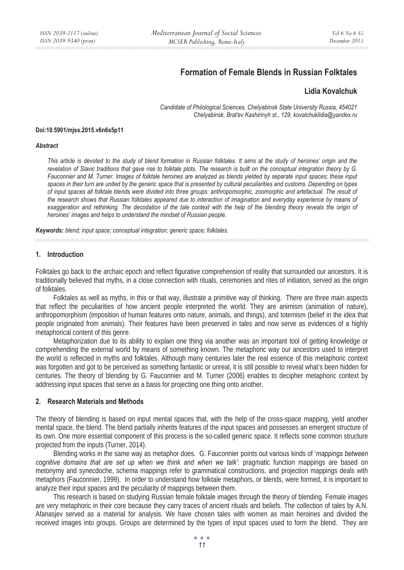# **Formation of Female Blends in Russian Folktales**

# **Lidia Kovalchuk**

*Candidate of Philological Sciences, Chelyabinsk State University Russia, 454021 Chelyabinsk, Brat'ev Kashirinyh st., 129; kovalchuklidia@yandex.ru* 

#### **Doi:10.5901/mjss.2015.v6n6s5p11**

#### *Abstract*

*This article is devoted to the study of blend formation in Russian folktales. It aims at the study of heroines' origin and the revelation of Slavic traditions that gave rise to folktale plots. The research is built on the conceptual integration theory by G.*  Fauconnier and M. Turner. Images of folktale heroines are analyzed as blends yielded by separate input spaces; these input *spaces in their turn are united by the generic space that is presented by cultural peculiarities and customs. Depending on types of input spaces all folktale blends were divided into three groups: anthropomorphic, zoomorphic and artefactual. The result of the research shows that Russian folktales appeared due to interaction of imagination and everyday experience by means of exaggeration and rethinking. The decodation of the tale context with the help of the blending theory reveals the origin of heroines' images and helps to understand the mindset of Russian people.* 

*Keywords: blend; input space; conceptual integration; generic space; folktales.* 

#### **1. Introduction**

Folktales go back to the archaic epoch and reflect figurative comprehension of reality that surrounded our ancestors. It is traditionally believed that myths, in a close connection with rituals, ceremonies and rites of initiation, served as the origin of folktales.

Folktales as well as myths, in this or that way, illustrate a primitive way of thinking. There are three main aspects that reflect the peculiarities of how ancient people interpreted the world. They are animism (animation of nature), anthropomorphism (imposition of human features onto nature, animals, and things), and totemism (belief in the idea that people originated from animals). Their features have been preserved in tales and now serve as evidences of a highly metaphorical content of this genre.

Metaphorization due to its ability to explain one thing via another was an important tool of getting knowledge or comprehending the external world by means of something known. The metaphoric way our ancestors used to interpret the world is reflected in myths and folktales. Although many centuries later the real essence of this metaphoric context was forgotten and got to be perceived as something fantastic or unreal, it is still possible to reveal what's been hidden for centuries. The theory of blending by G. Fauconnier and M. Turner (2006) enables to decipher metaphoric context by addressing input spaces that serve as a basis for projecting one thing onto another.

### **2. Research Materials and Methods**

The theory of blending is based on input mental spaces that, with the help of the cross-space mapping, yield another mental space, the blend. The blend partially inherits features of the input spaces and possesses an emergent structure of its own. One more essential component of this process is the so-called generic space. It reflects some common structure projected from the inputs (Turner, 2014).

Blending works in the same way as metaphor does. G. Fauconnier points out various kinds of '*mappings between cognitive domains that are set up when we think and when we talk'*: pragmatic function mappings are based on metonymy and synecdoche, schema mappings refer to grammatical constructions, and projection mappings deals with metaphors (Fauconnier, 1999). In order to understand how folktale metaphors, or blends, were formed, it is important to analyze their input spaces and the peculiarity of mappings between them.

This research is based on studying Russian female folktale images through the theory of blending. Female images are very metaphoric in their core because they carry traces of ancient rituals and beliefs. The collection of tales by A.N. Afanasjev served as a material for analysis. We have chosen tales with women as main heroines and divided the received images into groups. Groups are determined by the types of input spaces used to form the blend. They are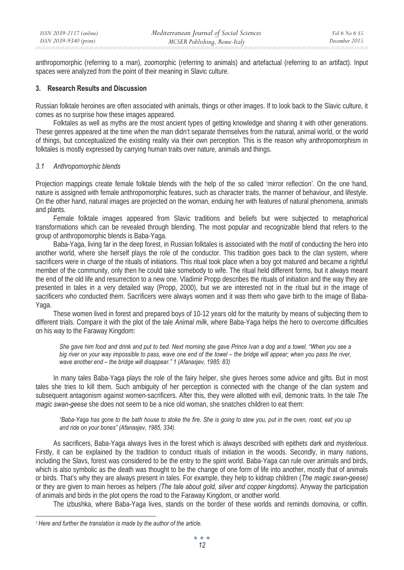anthropomorphic (referring to a man), zoomorphic (referring to animals) and artefactual (referring to an artifact). Input spaces were analyzed from the point of their meaning in Slavic culture.

# **3. Research Results and Discussion**

Russian folktale heroines are often associated with animals, things or other images. If to look back to the Slavic culture, it comes as no surprise how these images appeared.

Folktales as well as myths are the most ancient types of getting knowledge and sharing it with other generations. These genres appeared at the time when the man didn't separate themselves from the natural, animal world, or the world of things, but conceptualized the existing reality via their own perception. This is the reason why anthropomorphism in folktales is mostly expressed by carrying human traits over nature, animals and things.

### *3.1 Anthropomorphic blends*

Projection mappings create female folktale blends with the help of the so called 'mirror reflection'. On the one hand, nature is assigned with female anthropomorphic features, such as character traits, the manner of behaviour, and lifestyle. On the other hand, natural images are projected on the woman, enduing her with features of natural phenomena, animals and plants.

Female folktale images appeared from Slavic traditions and beliefs but were subjected to metaphorical transformations which can be revealed through blending. The most popular and recognizable blend that refers to the group of anthropomorphic blends is Baba-Yaga.

Baba-Yaga, living far in the deep forest, in Russian folktales is associated with the motif of conducting the hero into another world, where she herself plays the role of the conductor. This tradition goes back to the clan system, where sacrificers were in charge of the rituals of initiations. This ritual took place when a boy got matured and became a rightful member of the community, only then he could take somebody to wife. The ritual held different forms, but it always meant the end of the old life and resurrection to a new one. Vladimir Propp describes the rituals of initiation and the way they are presented in tales in a very detailed way (Propp, 2000), but we are interested not in the ritual but in the image of sacrificers who conducted them. Sacrificers were always women and it was them who gave birth to the image of Baba-Yaga.

These women lived in forest and prepared boys of 10-12 years old for the maturity by means of subjecting them to different trials. Compare it with the plot of the tale *Animal milk*, where Baba-Yaga helps the hero to overcome difficulties on his way to the Faraway Kingdom:

*She gave him food and drink and put to bed. Next morning she gave Prince Ivan a dog and a towel, "When you see a big river on your way impossible to pass, wave one end of the towel – the bridge will appear; when you pass the river, wave another end – the bridge will disappear." 1 (Afanasjev, 1985: 83)* 

In many tales Baba-Yaga plays the role of the fairy helper, she gives heroes some advice and gifts. But in most tales she tries to kill them. Such ambiguity of her perception is connected with the change of the clan system and subsequent antagonism against women-sacrificers. After this, they were allotted with evil, demonic traits. In the tale *The magic swan-geese* she does not seem to be a nice old woman, she snatches children to eat them:

*"Baba-Yaga has gone to the bath house to stoke the fire. She is going to stew you, put in the oven, roast, eat you up and ride on your bones" (Afanasjev, 1985, 334).* 

As sacrificers, Baba-Yaga always lives in the forest which is always described with epithets *dark* and *mysterious*. Firstly, it can be explained by the tradition to conduct rituals of initiation in the woods. Secondly, in many nations, including the Slavs, forest was considered to be the entry to the spirit world. Baba-Yaga can rule over animals and birds, which is also symbolic as the death was thought to be the change of one form of life into another, mostly that of animals or birds. That's why they are always present in tales. For example, they help to kidnap children (*The magic swan-geese)* or they are given to main heroes as helpers *(The tale about gold, silver and copper kingdoms).* Anyway the participation of animals and birds in the plot opens the road to the Faraway Kingdom, or another world.

The izbushka, where Baba-Yaga lives, stands on the border of these worlds and reminds domovina, or coffin.

*<sup>1</sup> Here and further the translation is made by the author of the article.*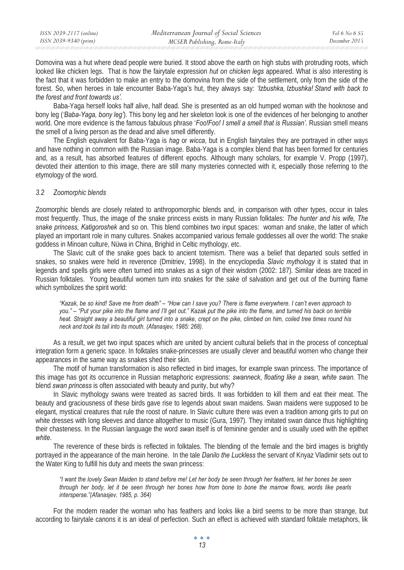Domovina was a hut where dead people were buried. It stood above the earth on high stubs with protruding roots, which looked like chicken legs. That is how the fairytale expression *hut on chicken legs* appeared. What is also interesting is the fact that it was forbidden to make an entry to the domovina from the side of the settlement, only from the side of the forest. So, when heroes in tale encounter Baba-Yaga's hut, they always say: *'Izbushka, Izbushka! Stand with back to the forest and front towards us'.*

Baba-Yaga herself looks half alive, half dead. She is presented as an old humped woman with the hooknose and bony leg (*'Baba-Yaga, bony leg'*). This bony leg and her skeleton look is one of the evidences of her belonging to another world. One more evidence is the famous fabulous phrase '*Foo!Foo! I smell a smell that is Russian'.* Russian smell means the smell of a living person as the dead and alive smell differently.

The English equivalent for Baba-Yaga is *hag* or *wicca*, but in English fairytales they are portrayed in other ways and have nothing in common with the Russian image. Baba-Yaga is a complex blend that has been formed for centuries and, as a result, has absorbed features of different epochs. Although many scholars, for example V. Propp (1997), devoted their attention to this image, there are still many mysteries connected with it, especially those referring to the etymology of the word.

## *3.2 Zoomorphic blends*

Zoomorphic blends are closely related to anthropomorphic blends and, in comparison with other types, occur in tales most frequently. Thus, the image of the snake princess exists in many Russian folktales: *The hunter and his wife, The snake princess, Katigoroshek* and so on*.* This blend combines two input spaces: woman and snake, the latter of which played an important role in many cultures. Snakes accompanied various female goddesses all over the world: The snake goddess in Minoan culture, Nüwa in China, Brighid in Celtic mythology, etc.

The Slavic cult of the snake goes back to ancient totemism. There was a belief that departed souls settled in snakes, so snakes were held in reverence (Dmitriev, 1998). In the encyclopedia *Slavic mythology* it is stated that in legends and spells girls were often turned into snakes as a sign of their wisdom (2002: 187). Similar ideas are traced in Russian folktales. Young beautiful women turn into snakes for the sake of salvation and get out of the burning flame which symbolizes the spirit world:

*"Kazak, be so kind! Save me from death" – "How can I save you? There is flame everywhere. I can't even approach to you." – "Put your pike into the flame and I'll get out." Kazak put the pike into the flame, and turned his back on terrible heat. Straight away a beautiful girl turned into a snake, crept on the pike, climbed on him, coiled tree times round his neck and took its tail into its mouth. (Afanasjev, 1985: 268).* 

As a result, we get two input spaces which are united by ancient cultural beliefs that in the process of conceptual integration form a generic space. In folktales snake-princesses are usually clever and beautiful women who change their appearances in the same way as snakes shed their skin.

The motif of human transformation is also reflected in bird images, for example swan princess. The importance of this image has got its occurrence in Russian metaphoric expressions: *swanneck*, *floating like a swan, white swan.* The blend *swan princess* is often associated with beauty and purity, but why?

In Slavic mythology swans were treated as sacred birds. It was forbidden to kill them and eat their meat. The beauty and graciousness of these birds gave rise to legends about swan maidens. Swan maidens were supposed to be elegant, mystical creatures that rule the roost of nature. In Slavic culture there was even a tradition among girls to put on white dresses with long sleeves and dance altogether to music (Gura, 1997). They imitated swan dance thus highlighting their chasteness. In the Russian language the word *swan* itself is of feminine gender and is usually used with the epithet *white*.

The reverence of these birds is reflected in folktales. The blending of the female and the bird images is brightly portrayed in the appearance of the main heroine. In the tale *Danilo the Luckless* the servant of Knyaz Vladimir sets out to the Water King to fulfill his duty and meets the swan princess:

*"I want the lovely Swan Maiden to stand before me! Let her body be seen through her feathers, let her bones be seen through her body, let it be seen through her bones how from bone to bone the marrow flows, words like pearls intersperse."(Afanasjev, 1985, p. 364)* 

For the modern reader the woman who has feathers and looks like a bird seems to be more than strange, but according to fairytale canons it is an ideal of perfection. Such an effect is achieved with standard folktale metaphors, lik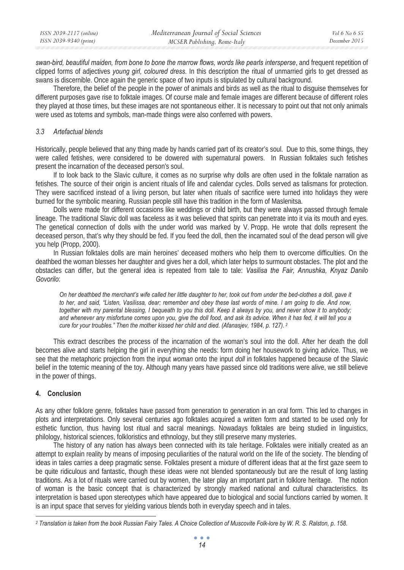| ISSN 2039-2117 (online) | Mediterranean Journal of Social Sciences | Vol 6 No 6 S5 |
|-------------------------|------------------------------------------|---------------|
| ISSN 2039-9340 (print)  | MCSER Publishing, Rome-Italy             | December 2015 |

*swan-bird, beautiful maiden, from bone to bone the marrow flows, words like pearls intersperse*, and frequent repetition of clipped forms of adjectives *young girl, coloured dress.* In this description the ritual of unmarried girls to get dressed as swans is discernible. Once again the generic space of two inputs is stipulated by cultural background.

Therefore, the belief of the people in the power of animals and birds as well as the ritual to disguise themselves for different purposes gave rise to folktale images. Of course male and female images are different because of different roles they played at those times, but these images are not spontaneous either. It is necessary to point out that not only animals were used as totems and symbols, man-made things were also conferred with powers.

## *3.3 Artefactual blends*

Historically, people believed that any thing made by hands carried part of its creator's soul. Due to this, some things, they were called fetishes, were considered to be dowered with supernatural powers. In Russian folktales such fetishes present the incarnation of the deceased person's soul.

If to look back to the Slavic culture, it comes as no surprise why dolls are often used in the folktale narration as fetishes. The source of their origin is ancient rituals of life and calendar cycles. Dolls served as talismans for protection. They were sacrificed instead of a living person, but later when rituals of sacrifice were turned into holidays they were burned for the symbolic meaning. Russian people still have this tradition in the form of Maslenitsa.

Dolls were made for different occasions like weddings or child birth, but they were always passed through female lineage. The traditional Slavic doll was faceless as it was believed that spirits can penetrate into it via its mouth and eyes. The genetical connection of dolls with the under world was marked by V. Propp. He wrote that dolls represent the deceased person, that's why they should be fed. If you feed the doll, then the incarnated soul of the dead person will give you help (Propp, 2000).

In Russian folktales dolls are main heroines' deceased mothers who help them to overcome difficulties. On the deathbed the woman blesses her daughter and gives her a doll, which later helps to surmount obstacles. The plot and the obstacles can differ, but the general idea is repeated from tale to tale: *Vasilisa the Fair, Annushka, Knyaz Danilo Govorilo*:

*On her deathbed the merchant's wife called her little daughter to her, took out from under the bed-clothes a doll, gave it*  to her, and said, "Listen, Vasilissa, dear; remember and obey these last words of mine. I am going to die. And now, *together with my parental blessing, I bequeath to you this doll. Keep it always by you, and never show it to anybody; and whenever any misfortune comes upon you, give the doll food, and ask its advice. When it has fed, it will tell you a cure for your troubles." Then the mother kissed her child and died. (Afanasjev, 1984, p. 127). 2* 

This extract describes the process of the incarnation of the woman's soul into the doll. After her death the doll becomes alive and starts helping the girl in everything she needs: form doing her housework to giving advice. Thus, we see that the metaphoric projection from the input *woman* onto the input *doll* in folktales happened because of the Slavic belief in the totemic meaning of the toy. Although many years have passed since old traditions were alive, we still believe in the power of things.

### **4. Conclusion**

As any other folklore genre, folktales have passed from generation to generation in an oral form. This led to changes in plots and interpretations. Only several centuries ago folktales acquired a written form and started to be used only for esthetic function, thus having lost ritual and sacral meanings. Nowadays folktales are being studied in linguistics, philology, historical sciences, folkloristics and ethnology, but they still preserve many mysteries.

The history of any nation has always been connected with its tale heritage. Folktales were initially created as an attempt to explain reality by means of imposing peculiarities of the natural world on the life of the society. The blending of ideas in tales carries a deep pragmatic sense. Folktales present a mixture of different ideas that at the first gaze seem to be quite ridiculous and fantastic, though these ideas were not blended spontaneously but are the result of long lasting traditions. As a lot of rituals were carried out by women, the later play an important part in folklore heritage. The notion of woman is the basic concept that is characterized by strongly marked national and cultural characteristics. Its interpretation is based upon stereotypes which have appeared due to biological and social functions carried by women. It is an input space that serves for yielding various blends both in everyday speech and in tales.

*<sup>2</sup> Translation is taken from the book Russian Fairy Tales. A Choice Collection of Muscovite Folk-lore by W. R. S. Ralston, p. 158.*